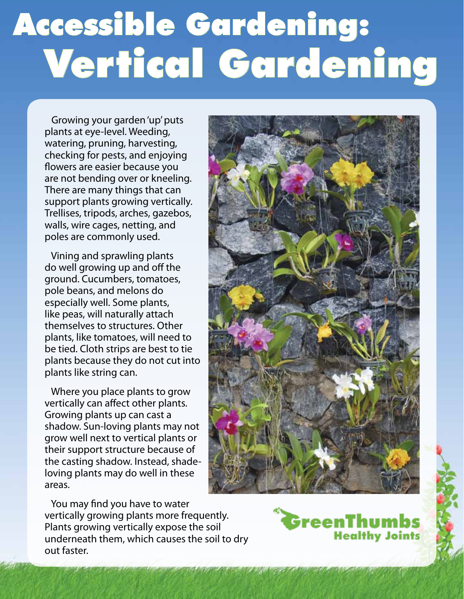## Accessible Gardening: Vertical Gardening

 Growing your garden 'up' puts plants at eye-level. Weeding, watering, pruning, harvesting, checking for pests, and enjoying flowers are easier because you are not bending over or kneeling. There are many things that can support plants growing vertically. Trellises, tripods, arches, gazebos, walls, wire cages, netting, and poles are commonly used.

 Vining and sprawling plants do well growing up and off the ground. Cucumbers, tomatoes, pole beans, and melons do especially well. Some plants, like peas, will naturally attach themselves to structures. Other plants, like tomatoes, will need to be tied. Cloth strips are best to tie plants because they do not cut into plants like string can.

 Where you place plants to grow vertically can affect other plants. Growing plants up can cast a shadow. Sun-loving plants may not grow well next to vertical plants or their support structure because of the casting shadow. Instead, shadeloving plants may do well in these areas.



 You may find you have to water vertically growing plants more frequently. Plants growing vertically expose the soil underneath them, which causes the soil to dry out faster.

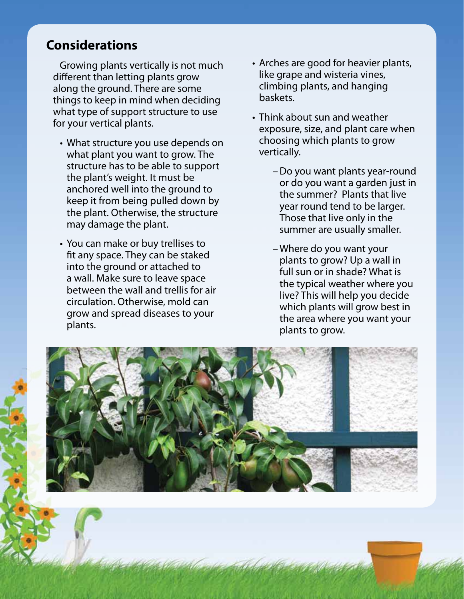## **Considerations**

 Growing plants vertically is not much different than letting plants grow along the ground. There are some things to keep in mind when deciding what type of support structure to use for your vertical plants.

- What structure you use depends on what plant you want to grow. The structure has to be able to support the plant's weight. It must be anchored well into the ground to keep it from being pulled down by the plant. Otherwise, the structure may damage the plant.
- You can make or buy trellises to fit any space. They can be staked into the ground or attached to a wall. Make sure to leave space between the wall and trellis for air circulation. Otherwise, mold can grow and spread diseases to your plants.
- Arches are good for heavier plants, like grape and wisteria vines, climbing plants, and hanging baskets.
- Think about sun and weather exposure, size, and plant care when choosing which plants to grow vertically.
	- Do you want plants year-round or do you want a garden just in the summer? Plants that live year round tend to be larger. Those that live only in the summer are usually smaller.
	- Where do you want your plants to grow? Up a wall in full sun or in shade? What is the typical weather where you live? This will help you decide which plants will grow best in the area where you want your plants to grow.

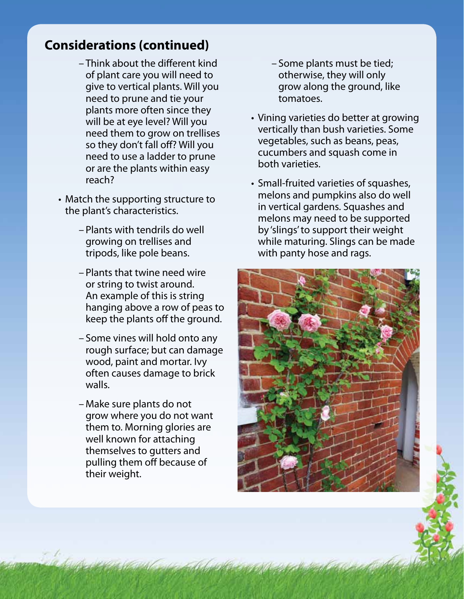## **Considerations (continued)**

- Think about the different kind of plant care you will need to give to vertical plants. Will you need to prune and tie your plants more often since they will be at eye level? Will you need them to grow on trellises so they don't fall off? Will you need to use a ladder to prune or are the plants within easy reach?
- Match the supporting structure to the plant's characteristics.
	- Plants with tendrils do well growing on trellises and tripods, like pole beans.
	- Plants that twine need wire or string to twist around. An example of this is string hanging above a row of peas to keep the plants off the ground.
	- Some vines will hold onto any rough surface; but can damage wood, paint and mortar. Ivy often causes damage to brick walls.
	- Make sure plants do not grow where you do not want them to. Morning glories are well known for attaching themselves to gutters and pulling them off because of their weight.
- Some plants must be tied; otherwise, they will only grow along the ground, like tomatoes.
- Vining varieties do better at growing vertically than bush varieties. Some vegetables, such as beans, peas, cucumbers and squash come in both varieties.
- Small-fruited varieties of squashes, melons and pumpkins also do well in vertical gardens. Squashes and melons may need to be supported by 'slings' to support their weight while maturing. Slings can be made with panty hose and rags.